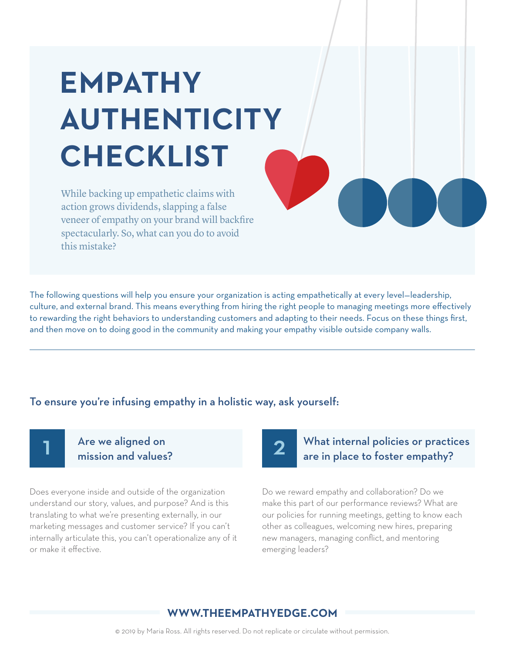# **EMPATHY AUTHENTICITY CHECKLIST**

While backing up empathetic claims with action grows dividends, slapping a false veneer of empathy on your brand will backfire spectacularly. So, what can you do to avoid this mistake?

The following questions will help you ensure your organization is acting empathetically at every level—leadership, culture, and external brand. This means everything from hiring the right people to managing meetings more effectively to rewarding the right behaviors to understanding customers and adapting to their needs. Focus on these things first, and then move on to doing good in the community and making your empathy visible outside company walls.

#### To ensure you're infusing empathy in a holistic way, ask yourself:



#### Are we aligned on mission and values?

Does everyone inside and outside of the organization understand our story, values, and purpose? And is this translating to what we're presenting externally, in our marketing messages and customer service? If you can't internally articulate this, you can't operationalize any of it or make it effective.

## 2

### What internal policies or practices are in place to foster empathy?

Do we reward empathy and collaboration? Do we make this part of our performance reviews? What are our policies for running meetings, getting to know each other as colleagues, welcoming new hires, preparing new managers, managing conflict, and mentoring emerging leaders?

#### **WWW.THEEMPATHYEDGE.COM**